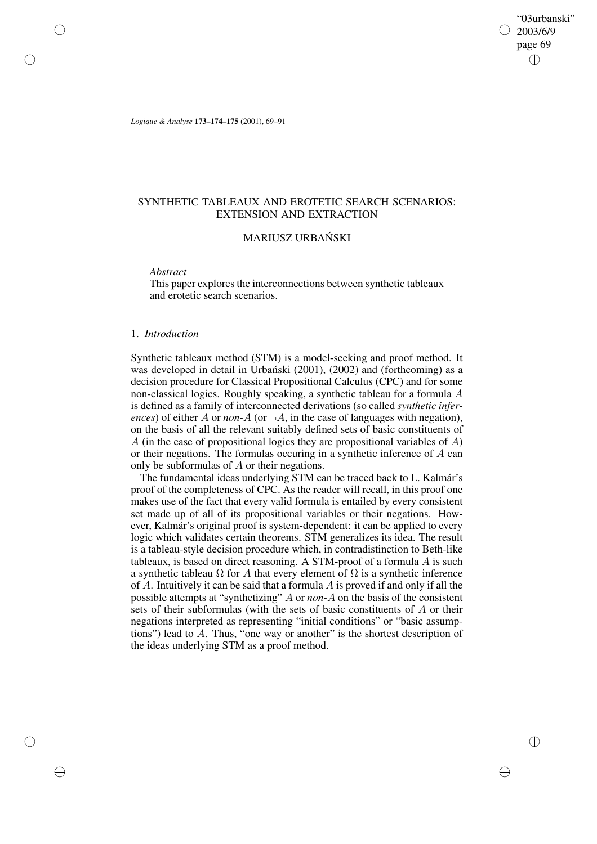"03urbanski" 2003/6/9 page 69 ✐ ✐

✐

✐

*Logique & Analyse* **173–174–175** (2001), 69–91

# SYNTHETIC TABLEAUX AND EROTETIC SEARCH SCENARIOS: EXTENSION AND EXTRACTION

# MARIUSZ URBANSKI ´

*Abstract*

✐

✐

✐

✐

This paper explores the interconnections between synthetic tableaux and erotetic search scenarios.

# 1. *Introduction*

Synthetic tableaux method (STM) is a model-seeking and proof method. It was developed in detail in Urbański (2001), (2002) and (forthcoming) as a decision procedure for Classical Propositional Calculus (CPC) and for some non-classical logics. Roughly speaking, a synthetic tableau for a formula A is defined as a family of interconnected derivations (so called *synthetic inferences*) of either A or *non-A* (or  $\neg A$ , in the case of languages with negation), on the basis of all the relevant suitably defined sets of basic constituents of A (in the case of propositional logics they are propositional variables of  $A$ ) or their negations. The formulas occuring in a synthetic inference of A can only be subformulas of A or their negations.

The fundamental ideas underlying STM can be traced back to L. Kalmár's proof of the completeness of CPC. As the reader will recall, in this proof one makes use of the fact that every valid formula is entailed by every consistent set made up of all of its propositional variables or their negations. However, Kalmár's original proof is system-dependent: it can be applied to every logic which validates certain theorems. STM generalizes its idea. The result is a tableau-style decision procedure which, in contradistinction to Beth-like tableaux, is based on direct reasoning. A STM-proof of a formula A is such a synthetic tableau  $\Omega$  for A that every element of  $\Omega$  is a synthetic inference of  $A$ . Intuitively it can be said that a formula  $A$  is proved if and only if all the possible attempts at "synthetizing" A or *non-*A on the basis of the consistent sets of their subformulas (with the sets of basic constituents of A or their negations interpreted as representing "initial conditions" or "basic assumptions") lead to  $A$ . Thus, "one way or another" is the shortest description of the ideas underlying STM as a proof method.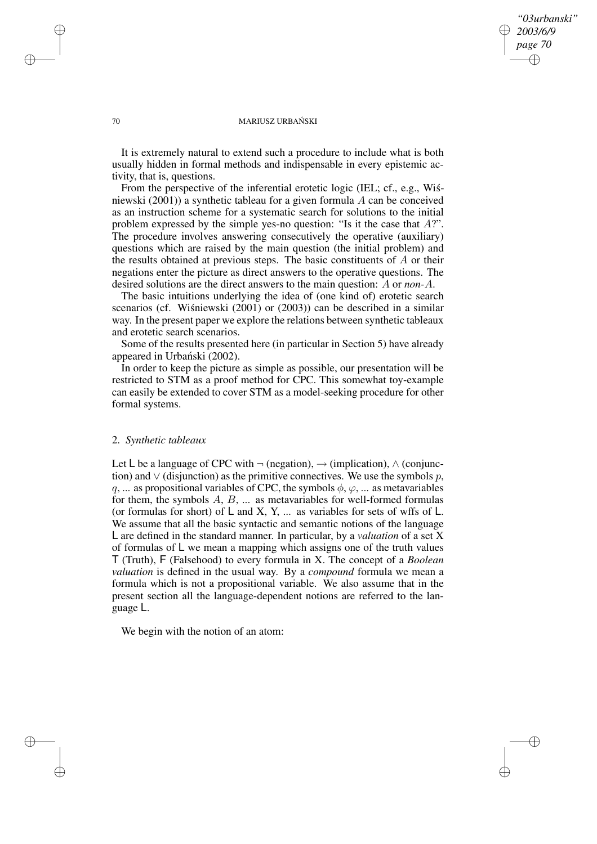## *"03urbanski" 2003/6/9 page 70* ✐ ✐

✐

✐

#### 70 MARIUSZ URBANSKI ´

It is extremely natural to extend such a procedure to include what is both usually hidden in formal methods and indispensable in every epistemic activity, that is, questions.

From the perspective of the inferential erotetic logic (IEL; cf., e.g., Wisniewski (2001)) a synthetic tableau for a given formula A can be conceived as an instruction scheme for a systematic search for solutions to the initial problem expressed by the simple yes-no question: "Is it the case that A?". The procedure involves answering consecutively the operative (auxiliary) questions which are raised by the main question (the initial problem) and the results obtained at previous steps. The basic constituents of A or their negations enter the picture as direct answers to the operative questions. The desired solutions are the direct answers to the main question: A or *non-*A.

The basic intuitions underlying the idea of (one kind of) erotetic search scenarios (cf. Wiśniewski  $(2001)$  or  $(2003)$ ) can be described in a similar way. In the present paper we explore the relations between synthetic tableaux and erotetic search scenarios.

Some of the results presented here (in particular in Section 5) have already appeared in Urbański (2002).

In order to keep the picture as simple as possible, our presentation will be restricted to STM as a proof method for CPC. This somewhat toy-example can easily be extended to cover STM as a model-seeking procedure for other formal systems.

## 2. *Synthetic tableaux*

Let L be a language of CPC with  $\neg$  (negation),  $\neg$  (implication),  $\wedge$  (conjunction) and  $\vee$  (disjunction) as the primitive connectives. We use the symbols p, q, ... as propositional variables of CPC, the symbols  $\phi$ ,  $\varphi$ , ... as metavariables for them, the symbols  $A, B, \ldots$  as metavariables for well-formed formulas (or formulas for short) of  $L$  and  $X$ ,  $Y$ , ... as variables for sets of wffs of  $L$ . We assume that all the basic syntactic and semantic notions of the language L are defined in the standard manner. In particular, by a *valuation* of a set X of formulas of L we mean a mapping which assigns one of the truth values T (Truth), F (Falsehood) to every formula in X. The concept of a *Boolean valuation* is defined in the usual way. By a *compound* formula we mean a formula which is not a propositional variable. We also assume that in the present section all the language-dependent notions are referred to the language L.

We begin with the notion of an atom:

✐

✐

✐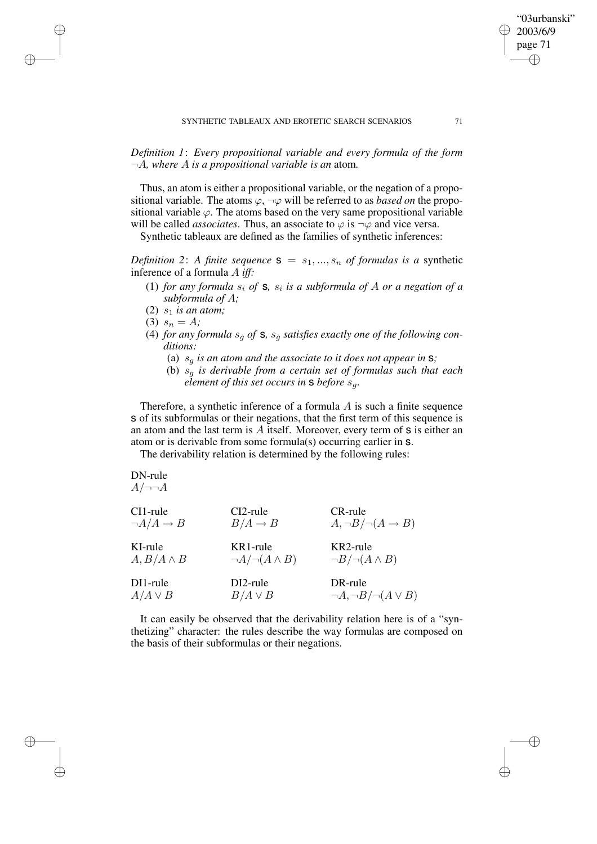*Definition 1*: *Every propositional variable and every formula of the form* ¬A*, where* A *is a propositional variable is an* atom*.*

Thus, an atom is either a propositional variable, or the negation of a propositional variable. The atoms  $\varphi$ ,  $\neg \varphi$  will be referred to as *based on* the propositional variable  $\varphi$ . The atoms based on the very same propositional variable will be called *associates*. Thus, an associate to  $\varphi$  is  $\neg \varphi$  and vice versa.

Synthetic tableaux are defined as the families of synthetic inferences:

*Definition* 2: A *finite sequence*  $S = s_1, ..., s_n$  *of formulas is a synthetic* inference of a formula A *iff:*

- (1) *for any formula*  $s_i$  *of*  $\bf{s}$ *,*  $s_i$  *is a subformula of A or a negation of a subformula of* A*;*
- (2)  $s_1$  *is an atom;*
- (3)  $s_n = A$ ;

✐

✐

✐

✐

- (4) *for any formula*  $s_q$  *of* **s**,  $s_q$  *satisfies exactly one of the following conditions:*
	- (a)  $s_q$  *is an atom and the associate to it does not appear in*  $s$ ;
	- (b)  $s_q$  *is derivable from a certain set of formulas such that each element of this set occurs in* s *before* sg*.*

Therefore, a synthetic inference of a formula  $A$  is such a finite sequence s of its subformulas or their negations, that the first term of this sequence is an atom and the last term is  $A$  itself. Moreover, every term of  $s$  is either an atom or is derivable from some formula(s) occurring earlier in s.

The derivability relation is determined by the following rules:

DN-rule  

$$
A/\neg\neg A
$$

| CI1-rule                 | $CI2$ -rule                  | CR-rule                              |
|--------------------------|------------------------------|--------------------------------------|
| $\neg A/A \rightarrow B$ | $B/A \to B$                  | $A, \neg B / \neg (A \rightarrow B)$ |
| KI-rule                  | KR1-rule                     | KR2-rule                             |
| $A, B/A \wedge B$        | $\neg A / \neg (A \wedge B)$ | $\neg B / \neg (A \land B)$          |
| DI1-rule                 | DI2-rule                     | DR-rule                              |
| $A/A \vee B$             | $B/A \vee B$                 | $\neg A, \neg B / \neg (A \vee B)$   |

It can easily be observed that the derivability relation here is of a "synthetizing" character: the rules describe the way formulas are composed on the basis of their subformulas or their negations.

"03urbanski" 2003/6/9 page 71

✐

✐

✐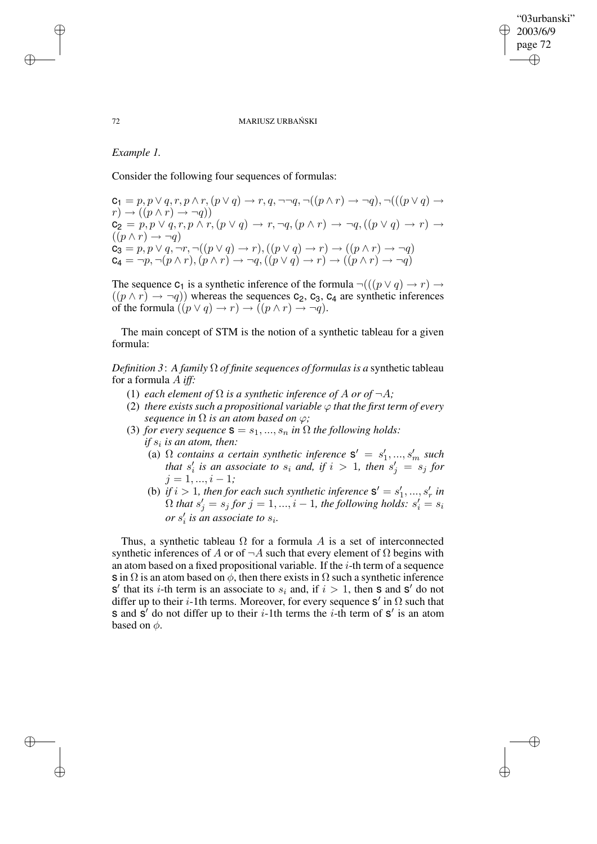✐

✐

#### 72 MARIUSZ URBANSKI ´

# *Example 1.*

Consider the following four sequences of formulas:

 $c_1 = p, p \lor q, r, p \land r, (p \lor q) \rightarrow r, q, \neg\neg q, \neg((p \land r) \rightarrow \neg q), \neg(((p \lor q) \rightarrow$  $r) \rightarrow ((p \land r) \rightarrow \neg q))$  $c_2 = p, p \vee q, r, p \wedge r, (p \vee q) \rightarrow r, \neg q, (p \wedge r) \rightarrow \neg q, ((p \vee q) \rightarrow r) \rightarrow$  $((p \wedge r) \rightarrow \neg q)$  ${\tt C_3}=p, p\lor q, \neg r, \neg ((p\lor q)\to r), ((p\lor q)\to r)\to ((p\land r)\to \neg q)$  $c_4 = \neg p, \neg (p \wedge r), (p \wedge r) \rightarrow \neg q, ((p \vee q) \rightarrow r) \rightarrow ((p \wedge r) \rightarrow \neg q)$ 

The sequence  $c_1$  is a synthetic inference of the formula  $\neg((p \lor q) \to r) \to$  $((p \wedge r) \rightarrow \neg q)$ ) whereas the sequences  $c_2$ ,  $c_3$ ,  $c_4$  are synthetic inferences of the formula  $((p \lor q) \to r) \to ((p \land r) \to \neg q)$ .

The main concept of STM is the notion of a synthetic tableau for a given formula:

*Definition* 3: A *family*  $\Omega$  *of finite sequences of formulas is a synthetic tableau* for a formula A *iff:*

- (1) *each element of*  $\Omega$  *is a synthetic inference of*  $A$  *or of*  $\neg A$ *;*
- (2) *there exists such a propositional variable*  $\varphi$  *that the first term of every sequence in*  $\Omega$  *is an atom based on*  $\varphi$ *;*
- (3) *for every sequence*  $\mathbf{s} = s_1, ..., s_n$  *in*  $\Omega$  *the following holds: if* s<sup>i</sup> *is an atom, then:*
	- (a)  $\Omega$  *contains a certain synthetic inference*  $S' = s'$  $s'_{1},...,s'_{m} \text{ such}$ *that*  $s_i'$  $\frac{1}{i}$  *is an associate to*  $s_i$  *and, if*  $i > 1$ *, then*  $s'_j = s_j$  *for*  $j = 1, \ldots, i - 1;$
	- (b) *if*  $i > 1$ *, then for each such synthetic inference*  $S' = s'$  $'_{1}, ..., s'_{n}$ r *in*  $\Omega$  that  $s'_j = s_j$  for  $j = 1, ..., i - 1$ , the following holds:  $s'_i = s_i$ or  $s_i'$  $\int_{i}$  *is an associate to s<sub>i</sub>.*

Thus, a synthetic tableau  $\Omega$  for a formula A is a set of interconnected synthetic inferences of A or of  $\neg A$  such that every element of  $\Omega$  begins with an atom based on a fixed propositional variable. If the  $i$ -th term of a sequence s in  $\Omega$  is an atom based on  $\phi$ , then there exists in  $\Omega$  such a synthetic inference  $s'$  that its *i*-th term is an associate to  $s_i$  and, if  $i > 1$ , then s and s' do not differ up to their *i*-1th terms. Moreover, for every sequence  $S'$  in  $\Omega$  such that s and s' do not differ up to their  $i$ -1th terms the  $i$ -th term of s' is an atom based on  $\phi$ .

✐

✐

✐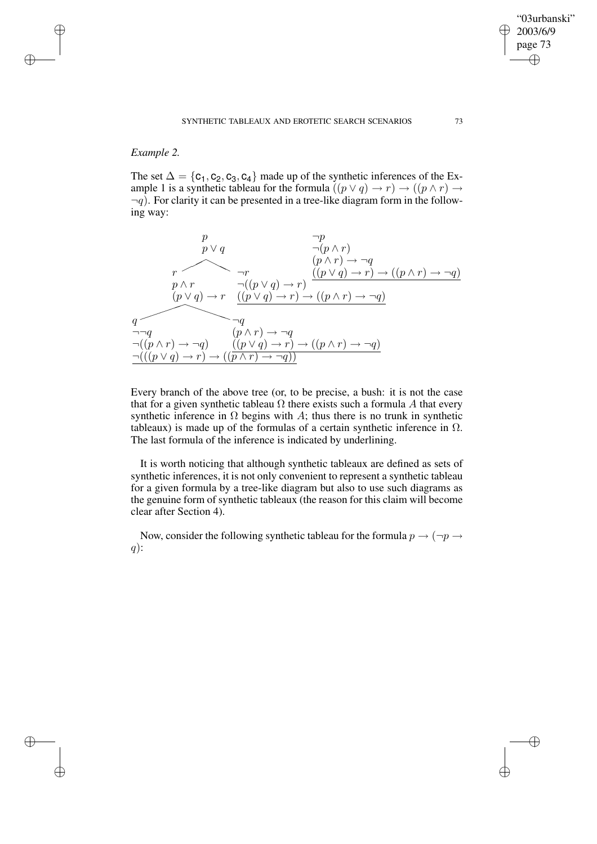# *Example 2.*

✐

✐

✐

✐

The set  $\Delta = \{c_1, c_2, c_3, c_4\}$  made up of the synthetic inferences of the Example 1 is a synthetic tableau for the formula  $((p \lor q) \to r) \to ((p \land r) \to$  $\neg q$ ). For clarity it can be presented in a tree-like diagram form in the following way:

$$
\begin{array}{cc}\np & \neg p \\
p \lor q & \neg (p \land r) \\
(p \land r) \to \neg q \\
p \land r & \neg ((p \lor q) \to r) \to ((p \land r) \to \neg q)\n\end{array}
$$
\n
$$
\begin{array}{c}\nr & \neg r \\
p \land r & \neg ((p \lor q) \to r) \to ((p \land r) \to \neg q)\n\end{array}
$$
\n
$$
\begin{array}{c}\nq \\
q \\
\hline\n\end{array}\n\end{array}
$$
\n
$$
\begin{array}{c}\nq \\
\hline\n\end{array}\n\end{array}
$$
\n
$$
\begin{array}{c}\nq \\
\hline\n\end{array}\n\end{array}
$$
\n
$$
\begin{array}{c}\nq \\
\hline\n\end{array}\n\end{array}
$$
\n
$$
\begin{array}{c}\nq \\
\hline\n\end{array}\n\end{array}
$$
\n
$$
\begin{array}{c}\n(q \land r) \to \neg q \\
(p \land r) \to \neg q \\
\hline\n\end{array}
$$
\n
$$
\begin{array}{c}\n(q \land r) \to \neg q \\
(p \land r) \to r\n\end{array}
$$
\n
$$
\begin{array}{c}\n(q \land r) \to \neg q \\
\hline\n\end{array}
$$
\n
$$
\begin{array}{c}\n(q \land r) \to \neg q \\
\hline\n\end{array}
$$

Every branch of the above tree (or, to be precise, a bush: it is not the case that for a given synthetic tableau  $\Omega$  there exists such a formula A that every synthetic inference in  $\Omega$  begins with A; thus there is no trunk in synthetic tableaux) is made up of the formulas of a certain synthetic inference in  $\Omega$ . The last formula of the inference is indicated by underlining.

It is worth noticing that although synthetic tableaux are defined as sets of synthetic inferences, it is not only convenient to represent a synthetic tableau for a given formula by a tree-like diagram but also to use such diagrams as the genuine form of synthetic tableaux (the reason for this claim will become clear after Section 4).

Now, consider the following synthetic tableau for the formula  $p \rightarrow (\neg p \rightarrow$  $q)$ :

"03urbanski" 2003/6/9 page 73

✐

✐

✐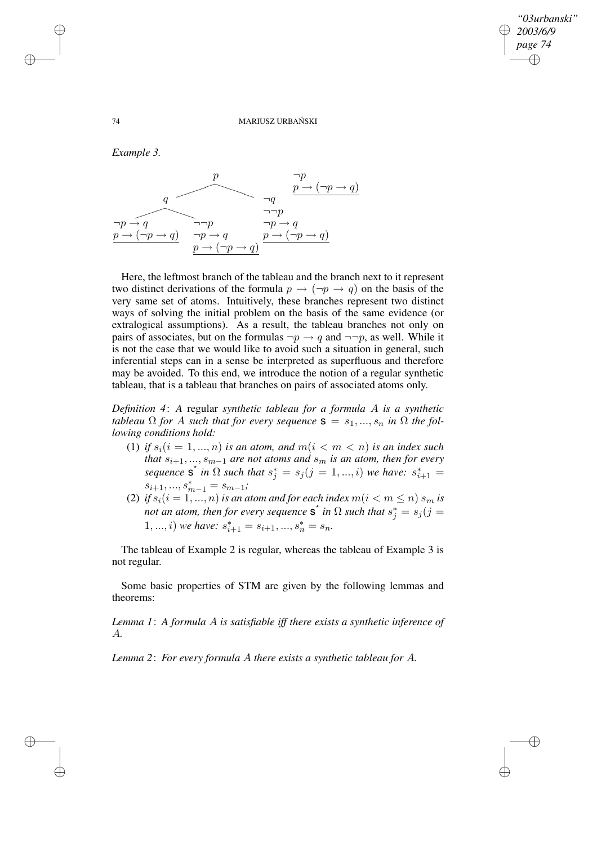✐

✐

#### 74 MARIUSZ URBANSKI ´

*Example 3.*



Here, the leftmost branch of the tableau and the branch next to it represent two distinct derivations of the formula  $p \rightarrow (\neg p \rightarrow q)$  on the basis of the very same set of atoms. Intuitively, these branches represent two distinct ways of solving the initial problem on the basis of the same evidence (or extralogical assumptions). As a result, the tableau branches not only on pairs of associates, but on the formulas  $\neg p \rightarrow q$  and  $\neg \neg p$ , as well. While it is not the case that we would like to avoid such a situation in general, such inferential steps can in a sense be interpreted as superfluous and therefore may be avoided. To this end, we introduce the notion of a regular synthetic tableau, that is a tableau that branches on pairs of associated atoms only.

*Definition 4*: *A* regular *synthetic tableau for a formula* A *is a synthetic tableau*  $\Omega$  *for A such that for every sequence*  $\mathbf{s} = s_1, ..., s_n$  *in*  $\Omega$  *the following conditions hold:*

- (1) *if*  $s_i$  ( $i = 1, ..., n$ ) *is an atom, and*  $m(i < m < n)$  *is an index such that*  $s_{i+1},...,s_{m-1}$  *are not atoms and*  $s_m$  *is an atom, then for every sequence*  $S^*$  *in*  $\Omega$  *such that*  $s_j^* = s_j (j = 1, ..., i)$  *we have:*  $s_{i+1}^* =$  $s_{i+1},...,s_{m-1}^* = s_{m-1}$ ;
- (2) *if*  $s_i$ ( $i = 1, ..., n$ ) *is an atom and for each index*  $m$ ( $i < m \le n$ )  $s_m$  *is not an atom, then for every sequence*  $\mathbf{s}^*$  *in*  $\Omega$  *such that*  $s_j^* = s_j (j =$ 1, ..., *i*) *we have:*  $s_{i+1}^* = s_{i+1}, ..., s_n^* = s_n$ .

The tableau of Example 2 is regular, whereas the tableau of Example 3 is not regular.

Some basic properties of STM are given by the following lemmas and theorems:

*Lemma 1*: *A formula* A *is satisfiable iff there exists a synthetic inference of* A*.*

*Lemma 2*: *For every formula* A *there exists a synthetic tableau for* A*.*

✐

✐

✐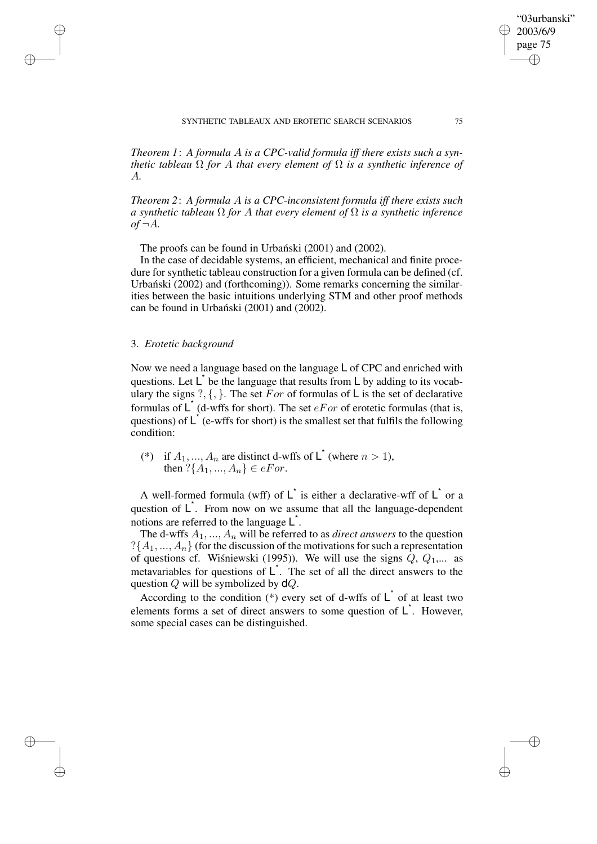SYNTHETIC TABLEAUX AND EROTETIC SEARCH SCENARIOS 75

*Theorem 1*: *A formula* A *is a CPC-valid formula iff there exists such a synthetic tableau*  $\Omega$  *for*  $A$  *that every element of*  $\Omega$  *is a synthetic inference of* A*.*

*Theorem 2*: *A formula* A *is a CPC-inconsistent formula iff there exists such a synthetic tableau* Ω *for* A *that every element of* Ω *is a synthetic inference*  $of \neg A$ .

The proofs can be found in Urbanski (2001) and (2002).

In the case of decidable systems, an efficient, mechanical and finite procedure for synthetic tableau construction for a given formula can be defined (cf. Urbanski (2002) and (forthcoming)). Some remarks concerning the similarities between the basic intuitions underlying STM and other proof methods can be found in Urbanski  $(2001)$  and  $(2002)$ .

## 3. *Erotetic background*

✐

✐

✐

✐

Now we need a language based on the language L of CPC and enriched with questions. Let  $\mathsf{L}^*$  be the language that results from  $\mathsf{L}$  by adding to its vocabulary the signs ?,  $\{,\}$ . The set For of formulas of L is the set of declarative formulas of  $\mathsf{L}^*$  (d-wffs for short). The set  $e\mathit{For}$  of erotetic formulas (that is, questions) of  $\mathsf{L}^*$  (e-wffs for short) is the smallest set that fulfils the following condition:

(\*) if  $A_1, ..., A_n$  are distinct d-wffs of  $\mathsf{L}^{\dagger}$  (where  $n > 1$ ), then  $?\{A_1, ..., A_n\} \in eFor$ .

A well-formed formula (wff) of  $\mathsf{L}^*$  is either a declarative-wff of  $\mathsf{L}^*$  or a question of  $\mathsf{L}^*$ . From now on we assume that all the language-dependent notions are referred to the language  $\mathsf{L}^*$ .

The d-wffs  $A_1, ..., A_n$  will be referred to as *direct answers* to the question  $?$ { $A_1, ..., A_n$ } (for the discussion of the motivations for such a representation of questions cf. Wisniewski (1995)). We will use the signs  $\hat{Q}$ ,  $Q_1,...$  as metavariables for questions of  $\mathsf{L}^*$ . The set of all the direct answers to the question  $Q$  will be symbolized by  $dQ$ .

According to the condition (\*) every set of d-wffs of  $\mathsf{L}^*$  of at least two elements forms a set of direct answers to some question of  $L^*$ . However, some special cases can be distinguished.

"03urbanski" 2003/6/9 page 75

✐

✐

✐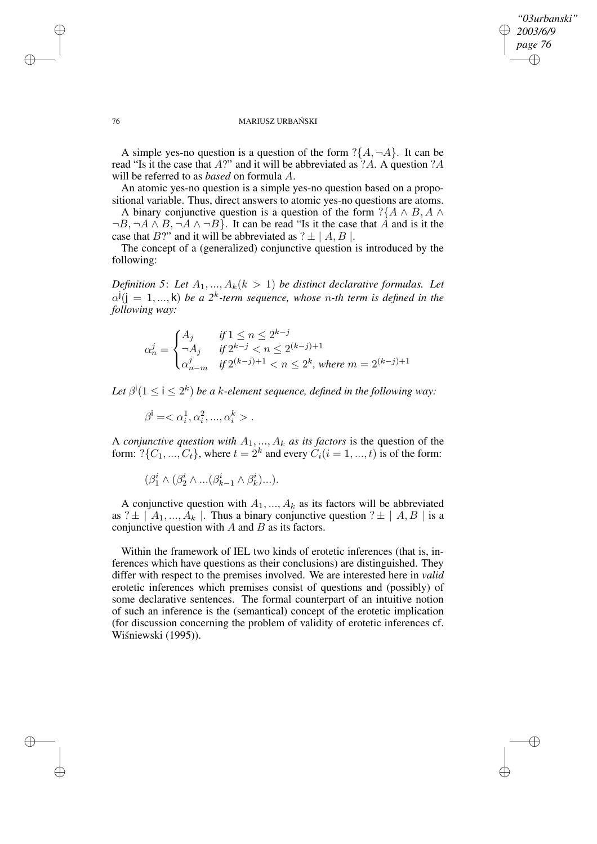✐

✐

#### 76 MARIUSZ URBANSKI ´

A simple yes-no question is a question of the form  $?\{A, \neg A\}$ . It can be read "Is it the case that A?" and it will be abbreviated as ?A. A question ?A will be referred to as *based* on formula A.

An atomic yes-no question is a simple yes-no question based on a propositional variable. Thus, direct answers to atomic yes-no questions are atoms. A binary conjunctive question is a question of the form  $?{A \land B, A \land B}$ 

 $\neg B, \neg A \land B, \neg A \land \neg B$ . It can be read "Is it the case that A and is it the case that B?" and it will be abbreviated as  $? \pm |A, B|$ .

The concept of a (generalized) conjunctive question is introduced by the following:

*Definition* 5: Let  $A_1, ..., A_k$   $(k > 1)$  *be distinct declarative formulas. Let*  $\alpha^{j}$ ( $j = 1, ..., k$ ) *be a*  $2^{k}$ -term sequence, whose n-th term is defined in the *following way:*

$$
\alpha_n^j = \begin{cases} A_j & \text{if } 1 \leq n \leq 2^{k-j} \\ \neg A_j & \text{if } 2^{k-j} < n \leq 2^{(k-j)+1} \\ \alpha_{n-m}^j & \text{if } 2^{(k-j)+1} < n \leq 2^k \text{, where } m = 2^{(k-j)+1} \end{cases}
$$

Let  $\beta^i(1 \leq i \leq 2^k)$  be a k-element sequence, defined in the following way:

 $\beta^{\mathsf{i}} = \langle \alpha_i^1, \alpha_i^2, ..., \alpha_i^k \rangle$ .

A *conjunctive question with*  $A_1, ..., A_k$  *as its factors* is the question of the form:  $?$ { $C_1$ , ...,  $C_t$ }, where  $t = 2^k$  and every  $C_i$ ( $i = 1, ..., t$ ) is of the form:

 $(\beta_1^i \wedge (\beta_2^i \wedge ...(\beta_{k-1}^i \wedge \beta_k^i)...).$ 

A conjunctive question with  $A_1, ..., A_k$  as its factors will be abbreviated as ?  $\pm$  |  $A_1, ..., A_k$  |. Thus a binary conjunctive question ?  $\pm$  |  $A, B$  | is a conjunctive question with  $A$  and  $B$  as its factors.

Within the framework of IEL two kinds of erotetic inferences (that is, inferences which have questions as their conclusions) are distinguished. They differ with respect to the premises involved. We are interested here in *valid* erotetic inferences which premises consist of questions and (possibly) of some declarative sentences. The formal counterpart of an intuitive notion of such an inference is the (semantical) concept of the erotetic implication (for discussion concerning the problem of validity of erotetic inferences cf. Wiśniewski (1995)).

✐

✐

✐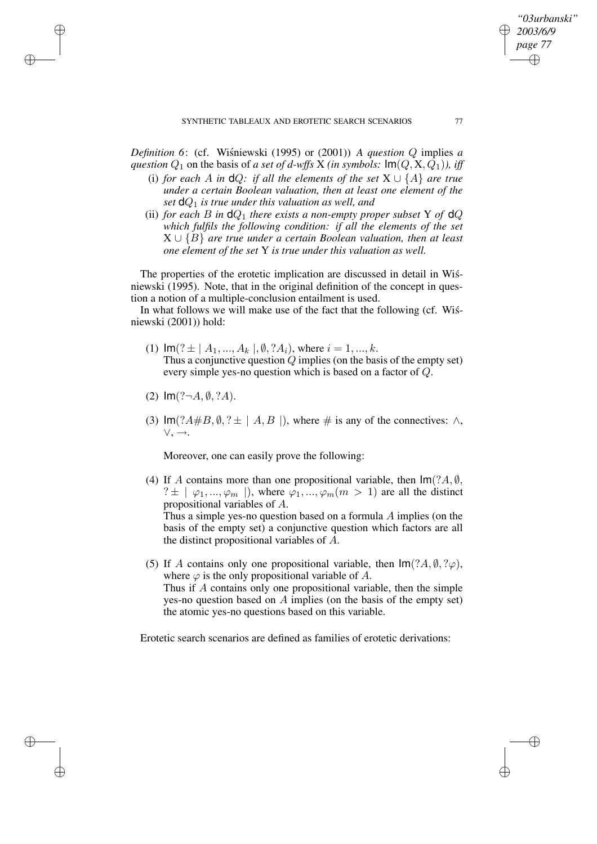*Definition* 6: (cf. Wisniewski (1995) or (2001)) *A question*  $Q$  implies  $a$ *question*  $Q_1$  on the basis of *a set of d-wffs* X *(in symbols:*  $Im(Q, X, Q_1)$ *), iff* 

- (i) *for each* A *in* **d**Q: *if all the elements of the set*  $X \cup \{A\}$  *are true under a certain Boolean valuation, then at least one element of the set*  $dQ_1$  *is true under this valuation as well, and*
- (ii) *for each B in*  $dQ_1$  *there exists a non-empty proper subset* Y *of*  $dQ$ *which fulfils the following condition: if all the elements of the set* X ∪ {B} *are true under a certain Boolean valuation, then at least one element of the set* Y *is true under this valuation as well.*

The properties of the erotetic implication are discussed in detail in Wisniewski (1995). Note, that in the original definition of the concept in question a notion of a multiple-conclusion entailment is used.

In what follows we will make use of the fact that the following (cf. Wisniewski (2001)) hold:

- (1)  $\text{Im}(? \pm | A_1, ..., A_k |, \emptyset, ?A_i)$ , where  $i = 1, ..., k$ . Thus a conjunctive question  $Q$  implies (on the basis of the empty set) every simple yes-no question which is based on a factor of Q.
- (2)  $Im(? \neg A, \emptyset, ?A)$ .

✐

✐

✐

✐

(3)  $\text{Im}(?A \# B, \emptyset, ? \pm | A, B |)$ , where  $\#$  is any of the connectives:  $\wedge$ , ∨, →.

Moreover, one can easily prove the following:

- (4) If A contains more than one propositional variable, then  $Im(?A, \emptyset)$ ,  $? \pm \mid \varphi_1, ..., \varphi_m \mid$ , where  $\varphi_1, ..., \varphi_m$  ( $m > 1$ ) are all the distinct propositional variables of A. Thus a simple yes-no question based on a formula A implies (on the basis of the empty set) a conjunctive question which factors are all the distinct propositional variables of A.
- (5) If A contains only one propositional variable, then  $\text{Im}(?A, \emptyset, ?\varphi)$ , where  $\varphi$  is the only propositional variable of A. Thus if A contains only one propositional variable, then the simple yes-no question based on A implies (on the basis of the empty set) the atomic yes-no questions based on this variable.

Erotetic search scenarios are defined as families of erotetic derivations:

*"03urbanski" 2003/6/9 page 77*

✐

✐

✐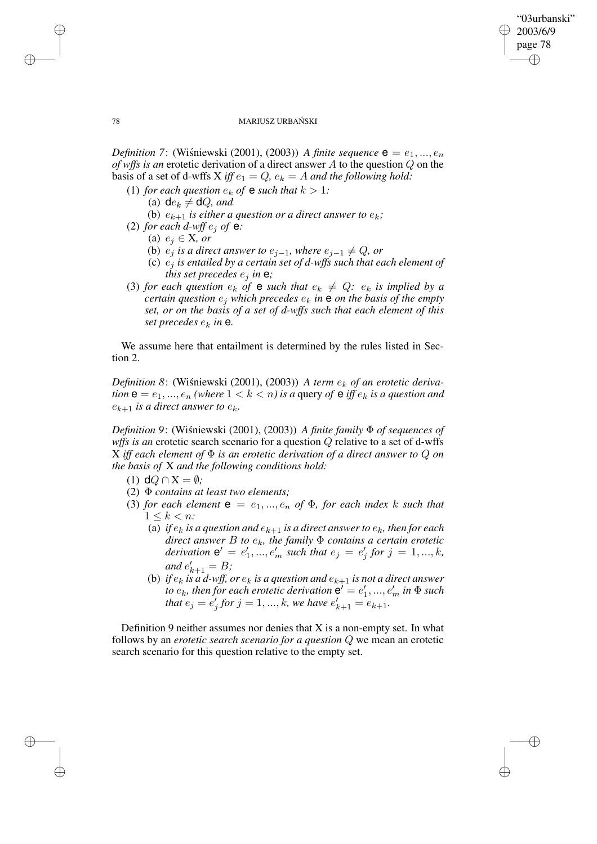✐

✐

#### 78 MARIUSZ URBANSKI ´

*Definition* 7: (Wisniewski (2001), (2003)) *A finite sequence*  $e = e_1, ..., e_n$ *of wffs is an* erotetic derivation of a direct answer A to the question Q on the basis of a set of d-wffs X *iff*  $e_1 = Q$ ,  $e_k = A$  *and the following hold:* 

- (1) *for each question*  $e_k$  *of*  $\bf{e}$  *such that*  $k > 1$ *:* (a)  $de_k \neq dQ$ *, and* 
	- (b)  $e_{k+1}$  *is either a question or a direct answer to*  $e_k$ ;
- (2) *for each d-wff*  $e_i$  *of*  $e$ *:* 
	- (a) e<sup>j</sup> ∈ X*, or*
	- (b)  $e_j$  *is a direct answer to*  $e_{j-1}$ *, where*  $e_{j-1} \neq Q$ *, or*
	- (c)  $e_i$  *is entailed by a certain set of d-wffs such that each element of this set precedes*  $e_i$  *in*  $e_j$ *;*
- (3) *for each question*  $e_k$  *of* **e** *such that*  $e_k \neq Q$ *:*  $e_k$  *is implied by a certain question*  $e_j$  *which precedes*  $e_k$  *in*  $e$  *on the basis of the empty set, or on the basis of a set of d-wffs such that each element of this set precedes*  $e_k$  *in* **e**.

We assume here that entailment is determined by the rules listed in Section 2.

*Definition* 8: (Wiśniewski (2001), (2003)) *A term*  $e_k$  *of an erotetic derivation*  $e = e_1, ..., e_n$  *(where*  $1 < k < n$ *) is a* query *of*  $e$  *iff*  $e_k$  *is a question and*  $e_{k+1}$  *is a direct answer to*  $e_k$ *.* 

*Definition* 9: (Wisniewski (2001), (2003)) *A finite family*  $\Phi$  *of sequences of wffs is an* erotetic search scenario for a question Q relative to a set of d-wffs X *iff each element of* Φ *is an erotetic derivation of a direct answer to* Q *on the basis of* X *and the following conditions hold:*

- (1)  $dQ \cap X = \emptyset$ ;
- (2) Φ *contains at least two elements;*
- (3) *for each element*  $e = e_1, ..., e_n$  *of*  $\Phi$ *, for each index* k *such that*  $1 \leq k \leq n$ 
	- (a) *if*  $e_k$  *is a question and*  $e_{k+1}$  *is a direct answer to*  $e_k$ *, then for each direct answer B to*  $e_k$ *, the family*  $\Phi$  *contains a certain erotetic derivation*  $e' = e'$  $e'_{1},...,e'_{m}$  such that  $e_{j}=e'_{j}$  $'_{j}$  for  $j = 1, ..., k$ , *and*  $e'_{k+1} = B$ ;
	- (b) *if*  $e_k$  *is a d*-wff, *or*  $e_k$  *is a question and*  $e_{k+1}$  *is not a direct answer to*  $e_k$ , then for each erotetic derivation  $\mathbf{e}' = e'_1$  $e'_{1},...,e'_{m}$  in  $\Phi$  such *that*  $e_j = e_j'$  $\int_{j}^{l}$  for  $j = 1, ..., k$ , we have  $e'_{k+1} = e_{k+1}$ .

Definition 9 neither assumes nor denies that  $X$  is a non-empty set. In what follows by an *erotetic search scenario for a question* Q we mean an erotetic search scenario for this question relative to the empty set.

✐

✐

✐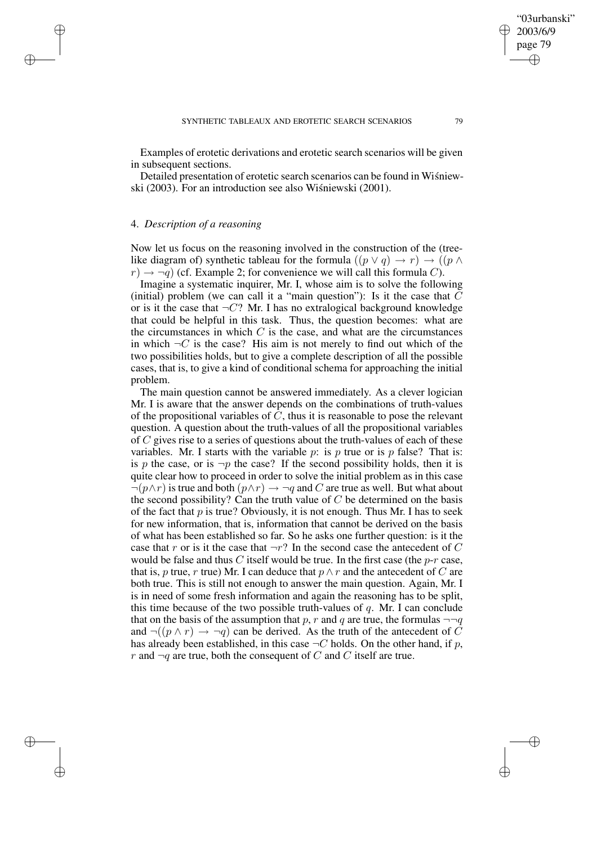Examples of erotetic derivations and erotetic search scenarios will be given in subsequent sections.

Detailed presentation of erotetic search scenarios can be found in Wisniewski (2003). For an introduction see also Wiśniewski (2001).

### 4. *Description of a reasoning*

✐

✐

✐

✐

Now let us focus on the reasoning involved in the construction of the (treelike diagram of) synthetic tableau for the formula  $((p \lor q) \to r) \to ((p \land q))$  $r \rightarrow \neg q$ ) (cf. Example 2; for convenience we will call this formula C).

Imagine a systematic inquirer, Mr. I, whose aim is to solve the following (initial) problem (we can call it a "main question"): Is it the case that  $C$ or is it the case that  $\neg C$ ? Mr. I has no extralogical background knowledge that could be helpful in this task. Thus, the question becomes: what are the circumstances in which  $C$  is the case, and what are the circumstances in which  $\neg C$  is the case? His aim is not merely to find out which of the two possibilities holds, but to give a complete description of all the possible cases, that is, to give a kind of conditional schema for approaching the initial problem.

The main question cannot be answered immediately. As a clever logician Mr. I is aware that the answer depends on the combinations of truth-values of the propositional variables of  $\overline{C}$ , thus it is reasonable to pose the relevant question. A question about the truth-values of all the propositional variables of C gives rise to a series of questions about the truth-values of each of these variables. Mr. I starts with the variable p: is p true or is p false? That is: is p the case, or is  $\neg p$  the case? If the second possibility holds, then it is quite clear how to proceed in order to solve the initial problem as in this case  $\neg(p\land r)$  is true and both  $(p\land r) \rightarrow \neg q$  and C are true as well. But what about the second possibility? Can the truth value of  $C$  be determined on the basis of the fact that  $p$  is true? Obviously, it is not enough. Thus Mr. I has to seek for new information, that is, information that cannot be derived on the basis of what has been established so far. So he asks one further question: is it the case that r or is it the case that  $\neg r$ ? In the second case the antecedent of C would be false and thus C itself would be true. In the first case (the  $p-r$  case, that is, p true, r true) Mr. I can deduce that  $p \wedge r$  and the antecedent of C are both true. This is still not enough to answer the main question. Again, Mr. I is in need of some fresh information and again the reasoning has to be split, this time because of the two possible truth-values of  $q$ . Mr. I can conclude that on the basis of the assumption that p, r and q are true, the formulas  $\neg\neg q$ and  $\neg((p \land r) \rightarrow \neg q)$  can be derived. As the truth of the antecedent of C has already been established, in this case  $\neg C$  holds. On the other hand, if p, r and  $\neg q$  are true, both the consequent of C and C itself are true.

✐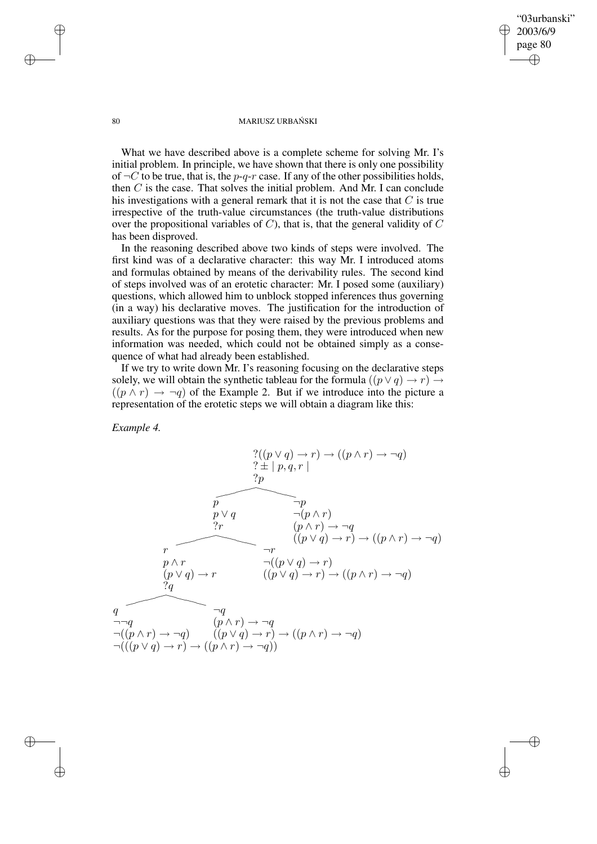"03urbanski" 2003/6/9 page 80 ✐ ✐

✐

✐

#### 80 MARIUSZ URBAŃSKI

What we have described above is a complete scheme for solving Mr. I's initial problem. In principle, we have shown that there is only one possibility of  $\neg C$  to be true, that is, the p-q-r case. If any of the other possibilities holds, then  $C$  is the case. That solves the initial problem. And Mr. I can conclude his investigations with a general remark that it is not the case that  $C$  is true irrespective of the truth-value circumstances (the truth-value distributions over the propositional variables of  $C$ ), that is, that the general validity of  $C$ has been disproved.

In the reasoning described above two kinds of steps were involved. The first kind was of a declarative character: this way Mr. I introduced atoms and formulas obtained by means of the derivability rules. The second kind of steps involved was of an erotetic character: Mr. I posed some (auxiliary) questions, which allowed him to unblock stopped inferences thus governing (in a way) his declarative moves. The justification for the introduction of auxiliary questions was that they were raised by the previous problems and results. As for the purpose for posing them, they were introduced when new information was needed, which could not be obtained simply as a consequence of what had already been established.

If we try to write down Mr. I's reasoning focusing on the declarative steps solely, we will obtain the synthetic tableau for the formula  $((p \lor q) \to r) \to$  $((p \wedge r) \rightarrow \neg q)$  of the Example 2. But if we introduce into the picture a representation of the erotetic steps we will obtain a diagram like this:

*Example 4.*

?((p ∨ q) → r) → ((p ∧ r) → ¬q) ? ± | p, q, r | ?p p ¬p p ∨ q ¬(p ∧ r) ?r (p ∧ r) → ¬q ((p ∨ q) → r) → ((p ∧ r) → ¬q) r ¬r p ∧ r ¬((p ∨ q) → r) (p ∨ q) → r ((p ∨ q) → r) → ((p ∧ r) → ¬q) ?q q ¬q ¬¬q (p ∧ r) → ¬q ¬((p ∧ r) → ¬q) ((p ∨ q) → r) → ((p ∧ r) → ¬q) ¬(((p ∨ q) → r) → ((p ∧ r) → ¬q)) ✘✘✘✘❳❳❳❳ ✘✘✘✘❳❳❳❳ ✘✘✘✘❳❳❳❳

✐

✐

✐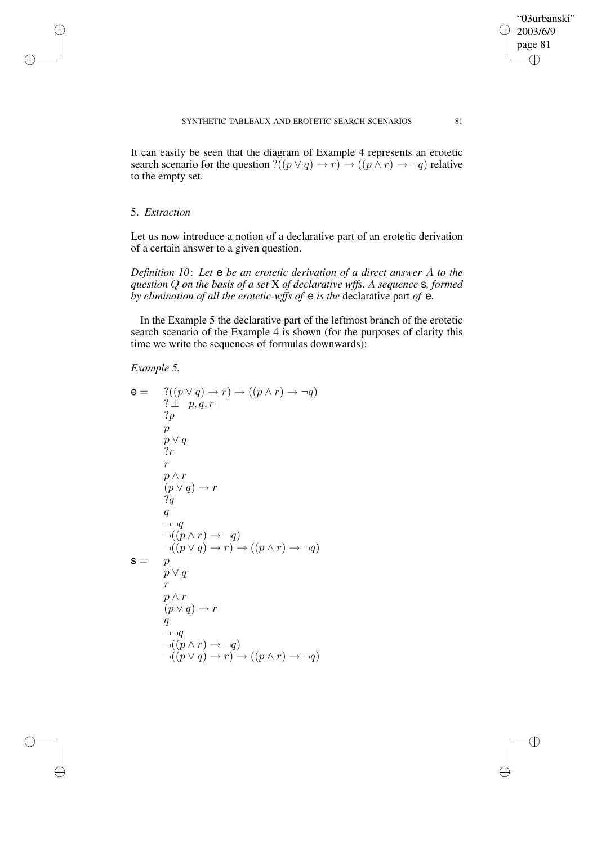It can easily be seen that the diagram of Example 4 represents an erotetic search scenario for the question ? $((p \lor q) \to r) \to ((p \land r) \to \neg q)$  relative to the empty set.

# 5. *Extraction*

✐

✐

✐

✐

Let us now introduce a notion of a declarative part of an erotetic derivation of a certain answer to a given question.

*Definition 10*: *Let* e *be an erotetic derivation of a direct answer* A *to the question* Q *on the basis of a set* X *of declarative wffs. A sequence* s*, formed by elimination of all the erotetic-wffs of* e *is the* declarative part *of* e*.*

In the Example 5 the declarative part of the leftmost branch of the erotetic search scenario of the Example 4 is shown (for the purposes of clarity this time we write the sequences of formulas downwards):

# *Example 5.*

$$
e = \begin{array}{c} ?((p \lor q) \to r) \to ((p \land r) \to \neg q) \\ ? \pm |p, q, r| \\ ?p \\ p \\ p \\ \hline\n\end{array}
$$
\n
$$
p \lor q
$$
\n
$$
r
$$
\n
$$
p \land r
$$
\n
$$
(p \lor q) \to r
$$
\n
$$
?q
$$
\n
$$
q
$$
\n
$$
\neg\neg q
$$
\n
$$
\neg((p \land r) \to \neg q)
$$
\n
$$
\neg((p \lor q) \to r) \to ((p \land r) \to \neg q)
$$
\n
$$
r
$$
\n
$$
p \lor q
$$
\n
$$
r
$$
\n
$$
(p \lor q) \to r
$$
\n
$$
q
$$
\n
$$
\neg(q
$$
\n
$$
\neg((p \land r) \to \neg q)
$$
\n
$$
\neg((p \lor q) \to r) \to ((p \land r) \to \neg q)
$$

"03urbanski" 2003/6/9 page 81

✐

 $\bigoplus$ 

✐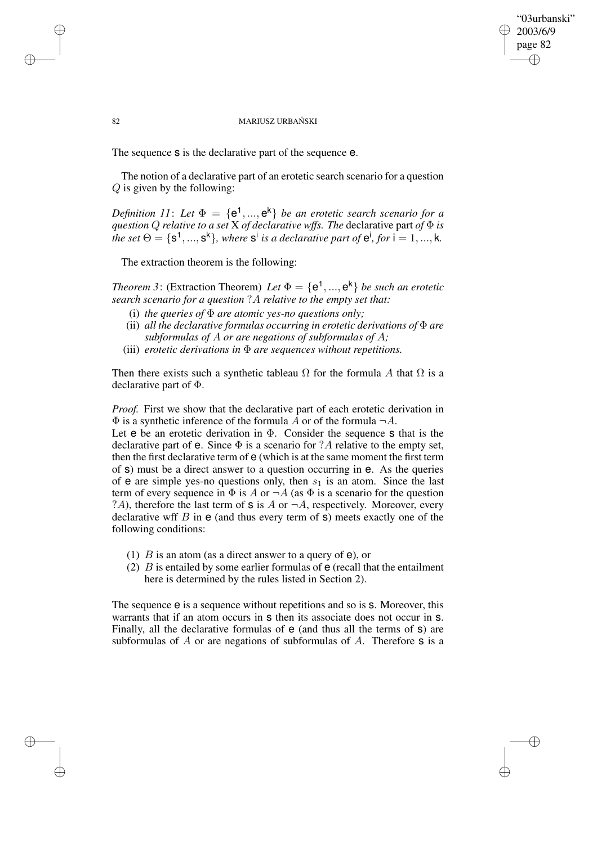## "03urbanski" 2003/6/9 page 82 ✐ ✐

✐

✐

#### 82 MARIUSZ URBAŃSKI

The sequence s is the declarative part of the sequence e.

The notion of a declarative part of an erotetic search scenario for a question Q is given by the following:

*Definition* 11: Let  $\Phi = {\bf{e}}^1, ..., {\bf{e}}^k$  *be an erotetic search scenario for a question* Q *relative to a set* X *of declarative wffs. The* declarative part *of* Φ *is the* set  $\Theta = \{s^1, ..., s^k\}$ , where  $s^i$  is a declarative part of  $e^i$ , for  $i = 1, ..., k$ .

The extraction theorem is the following:

✐

✐

✐

✐

*Theorem* 3: (Extraction Theorem) *Let*  $\Phi = {\bf e}^1, ..., {\bf e}^k$  *be such an erotetic search scenario for a question* ?A *relative to the empty set that:*

- (i) *the queries of*  $\Phi$  *are atomic yes-no questions only;*
- (ii) *all the declarative formulas occurring in erotetic derivations of* Φ *are subformulas of* A *or are negations of subformulas of* A*;*
- (iii) *erotetic derivations in* Φ *are sequences without repetitions.*

Then there exists such a synthetic tableau  $\Omega$  for the formula A that  $\Omega$  is a declarative part of Φ.

*Proof.* First we show that the declarative part of each erotetic derivation in  $\Phi$  is a synthetic inference of the formula A or of the formula  $\neg A$ .

Let  $e$  be an erotetic derivation in  $\Phi$ . Consider the sequence  $s$  that is the declarative part of  $e$ . Since  $\Phi$  is a scenario for ?A relative to the empty set, then the first declarative term of e (which is at the same moment the first term of s) must be a direct answer to a question occurring in e. As the queries of  $e$  are simple yes-no questions only, then  $s_1$  is an atom. Since the last term of every sequence in  $\Phi$  is A or  $\neg A$  (as  $\Phi$  is a scenario for the question ?A), therefore the last term of  $\sigma$  is A or  $\neg A$ , respectively. Moreover, every declarative wff  $B$  in  $e$  (and thus every term of  $s$ ) meets exactly one of the following conditions:

- (1)  $B$  is an atom (as a direct answer to a query of  $e$ ), or
- (2)  $\hat{B}$  is entailed by some earlier formulas of  $e$  (recall that the entailment here is determined by the rules listed in Section 2).

The sequence  $e$  is a sequence without repetitions and so is  $s$ . Moreover, this warrants that if an atom occurs in  $s$  then its associate does not occur in  $s$ . Finally, all the declarative formulas of  $e$  (and thus all the terms of  $s$ ) are subformulas of  $A$  or are negations of subformulas of  $A$ . Therefore  $S$  is a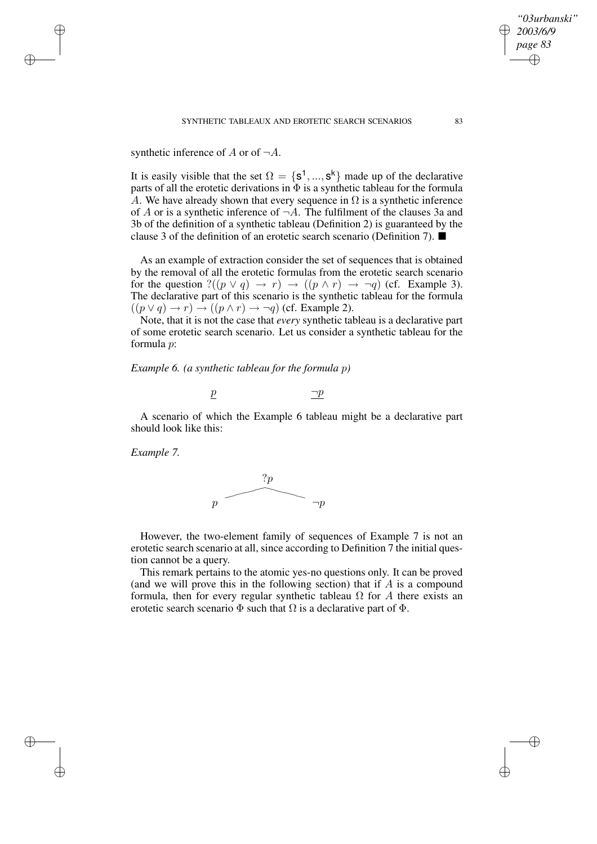SYNTHETIC TABLEAUX AND EROTETIC SEARCH SCENARIOS 83

synthetic inference of A or of  $\neg A$ .

✐

✐

✐

✐

It is easily visible that the set  $\Omega = \{s^1, ..., s^k\}$  made up of the declarative parts of all the erotetic derivations in  $\overline{\Phi}$  is a synthetic tableau for the formula A. We have already shown that every sequence in  $\Omega$  is a synthetic inference of A or is a synthetic inference of  $\neg A$ . The fulfilment of the clauses 3a and 3b of the definition of a synthetic tableau (Definition 2) is guaranteed by the clause 3 of the definition of an erotetic search scenario (Definition 7).

As an example of extraction consider the set of sequences that is obtained by the removal of all the erotetic formulas from the erotetic search scenario for the question  $?((p \lor q) \to r) \to ((p \land r) \to \neg q)$  (cf. Example 3). The declarative part of this scenario is the synthetic tableau for the formula  $((p \lor q) \to r) \to ((p \land r) \to \neg q)$  (cf. Example 2).

Note, that it is not the case that *every* synthetic tableau is a declarative part of some erotetic search scenario. Let us consider a synthetic tableau for the formula p:

*Example 6. (a synthetic tableau for the formula* p*)*

$$
\underline{p} \qquad \qquad \underline{\neg p}
$$

A scenario of which the Example 6 tableau might be a declarative part should look like this:

*Example 7.*



However, the two-element family of sequences of Example 7 is not an erotetic search scenario at all, since according to Definition 7 the initial question cannot be a query.

This remark pertains to the atomic yes-no questions only. It can be proved (and we will prove this in the following section) that if  $A$  is a compound formula, then for every regular synthetic tableau  $\Omega$  for A there exists an erotetic search scenario  $\Phi$  such that  $\Omega$  is a declarative part of  $\Phi$ .

*"03urbanski" 2003/6/9 page 83*

✐

✐

✐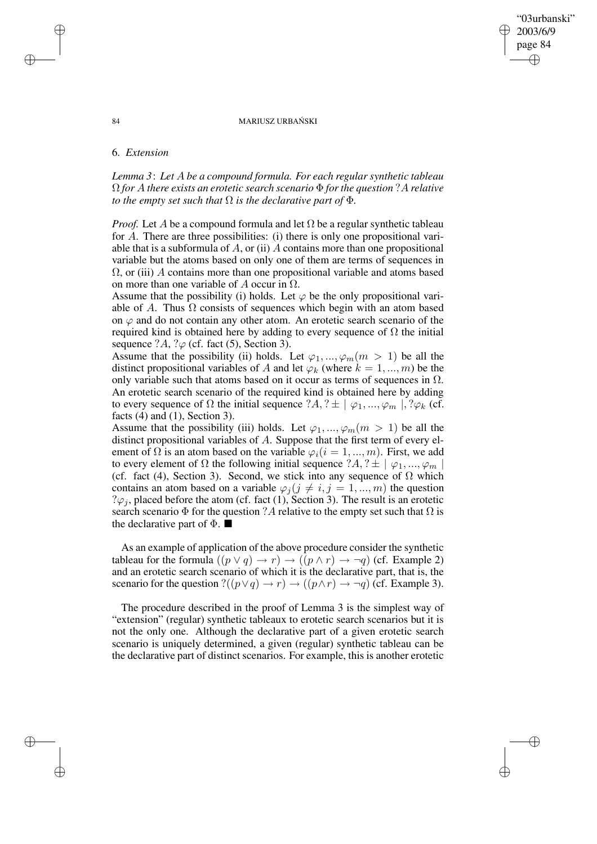#### 84 MARIUSZ URBAŃSKI

"03urbanski" 2003/6/9 page 84

✐

✐

✐

✐

### 6. *Extension*

*Lemma 3*: *Let* A *be a compound formula. For each regular synthetic tableau* Ω *for* A *there exists an erotetic search scenario* Φ *forthe question* ?A *relative to the empty set such that*  $\Omega$  *is the declarative part of*  $\Phi$ *.* 

*Proof.* Let A be a compound formula and let  $\Omega$  be a regular synthetic tableau for A. There are three possibilities: (i) there is only one propositional variable that is a subformula of  $A$ , or (ii)  $A$  contains more than one propositional variable but the atoms based on only one of them are terms of sequences in  $\Omega$ , or (iii) A contains more than one propositional variable and atoms based on more than one variable of A occur in  $\Omega$ .

Assume that the possibility (i) holds. Let  $\varphi$  be the only propositional variable of A. Thus  $\Omega$  consists of sequences which begin with an atom based on  $\varphi$  and do not contain any other atom. An erotetic search scenario of the required kind is obtained here by adding to every sequence of  $\Omega$  the initial sequence  $?A$ ,  $? \varphi$  (cf. fact (5), Section 3).

Assume that the possibility (ii) holds. Let  $\varphi_1, ..., \varphi_m$  ( $m > 1$ ) be all the distinct propositional variables of A and let  $\varphi_k$  (where  $k = 1, ..., m$ ) be the only variable such that atoms based on it occur as terms of sequences in  $\Omega$ . An erotetic search scenario of the required kind is obtained here by adding to every sequence of  $\Omega$  the initial sequence  $?A, ? \pm \mid \varphi_1, ..., \varphi_m \mid, ?\varphi_k$  (cf. facts  $(4)$  and  $(1)$ , Section 3).

Assume that the possibility (iii) holds. Let  $\varphi_1, ..., \varphi_m$  ( $m > 1$ ) be all the distinct propositional variables of A. Suppose that the first term of every element of  $\Omega$  is an atom based on the variable  $\varphi_i(i = 1, ..., m)$ . First, we add to every element of  $\Omega$  the following initial sequence  $?A, ? \pm \mid \varphi_1, ..., \varphi_m \mid$ (cf. fact (4), Section 3). Second, we stick into any sequence of  $\Omega$  which contains an atom based on a variable  $\varphi_j$  ( $j \neq i, j = 1, ..., m$ ) the question  $? \varphi_i$ , placed before the atom (cf. fact (1), Section 3). The result is an erotetic search scenario  $\Phi$  for the question ? A relative to the empty set such that  $\Omega$  is the declarative part of  $\Phi$ .

As an example of application of the above procedure consider the synthetic tableau for the formula  $((p \lor q) \to r) \to ((p \land r) \to \neg q)$  (cf. Example 2) and an erotetic search scenario of which it is the declarative part, that is, the scenario for the question ? $((p \lor q) \to r) \to ((p \land r) \to \neg q)$  (cf. Example 3).

The procedure described in the proof of Lemma 3 is the simplest way of "extension" (regular) synthetic tableaux to erotetic search scenarios but it is not the only one. Although the declarative part of a given erotetic search scenario is uniquely determined, a given (regular) synthetic tableau can be the declarative part of distinct scenarios. For example, this is another erotetic

✐

✐

✐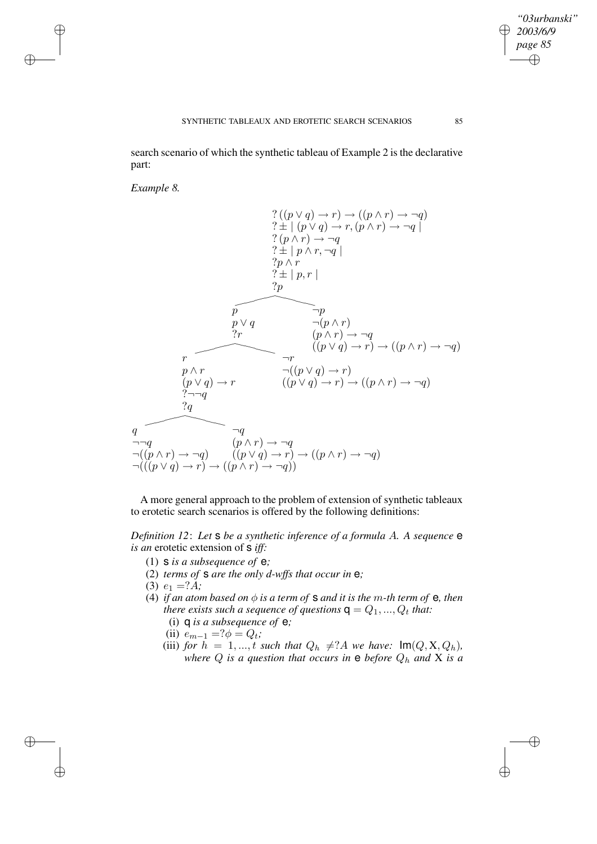search scenario of which the synthetic tableau of Example 2 is the declarative part:

*Example 8.*

✐

✐

✐

✐

$$
\begin{array}{c}\n? ((p \lor q) \to r) \to ((p \land r) \to \neg q) \\
? \pm | (p \lor q) \to r, (p \land r) \to \neg q) \\
? (p \land r) \to \neg q \\
? \pm | p \land r, \neg q| \\
? p \land r \\
? \pm | p, r | \\
? p\n\end{array}
$$
\n
$$
\overbrace{p \lor q} \qquad \overbrace{p \lor q} \qquad \overbrace{p \lor q} \qquad \overbrace{p \land r} \qquad (p \land r) \to \neg q \\
(p \lor q) \to r) \to ((p \land r) \to \neg q) \\
(p \lor q) \to r \\
(p \lor q) \to r\n\end{array}
$$
\n
$$
\overbrace{p \land r} \qquad \overbrace{p \land r} \qquad \overbrace{p \land (p \lor q) \to r} \qquad ((p \lor q) \to r) \to ((p \land r) \to \neg q) \qquad \overbrace{q \land q} \qquad \overbrace{q \land q} \qquad \overbrace{q \land q} \qquad \overbrace{q \land q} \qquad \overbrace{p \land r} \qquad \overbrace{q \land q} \qquad \overbrace{p \land r} \qquad \overbrace{p \land q} \qquad \overbrace{q \land q} \qquad \overbrace{p \land r} \qquad \overbrace{q \land q} \qquad \overbrace{p \land r} \qquad \overbrace{p \land q} \qquad \overbrace{p \land r} \qquad \overbrace{p \land q} \qquad \overbrace{p \land r} \qquad \overbrace{p \land q} \qquad \overbrace{p \land r} \qquad \overbrace{p \land q} \qquad \overbrace{p \land r} \qquad \overbrace{p \land q} \qquad \overbrace{p \land r} \qquad \overbrace{p \land q} \qquad \overbrace{p \land r} \qquad \overbrace{p \land q} \qquad \overbrace{p \land r} \qquad \overbrace{p \land q} \qquad \overbrace{p \land r} \qquad \overbrace{p \land q} \qquad \overbrace{p \land r} \qquad \overbrace{p \land q} \qquad \overbrace{p \land r} \qquad \overbrace{p \land q} \qquad \overbrace{p \land r} \qquad \overbrace{p \land q} \qquad \overbrace{p \land q} \qquad \overbrace{p \land q} \qquad \overbrace{p \land q
$$

A more general approach to the problem of extension of synthetic tableaux to erotetic search scenarios is offered by the following definitions:

*Definition 12*: *Let* s *be a synthetic inference of a formula* A*. A sequence* e *is an* erotetic extension of s *iff:*

- (1) s *is a subsequence of* e*;*
- (2) *terms of* s *are the only d-wffs that occur in* e*;*
- (3)  $e_1 = ?\dot{A}$ ;
- (4) *if an atom based on*  $\phi$  *is a term of* **s** *and it is the m*-*th term of* **e**, *then there exists such a sequence of questions*  $\mathsf{q} = Q_1, ..., Q_t$  *that:* 
	- (i) q *is a subsequence of* e*;*
	- (ii)  $e_{m-1} = ?\phi = Q_t;$
	- (iii) *for*  $h = 1, ..., t$  *such that*  $Q_h \neq ?A$  *we have:*  $Im(Q, X, Q_h)$ , *where*  $Q$  *is a question that occurs in*  $e$  *before*  $Q_h$  *and*  $X$  *is a*

*"03urbanski" 2003/6/9 page 85*

✐

 $\bigoplus$ 

✐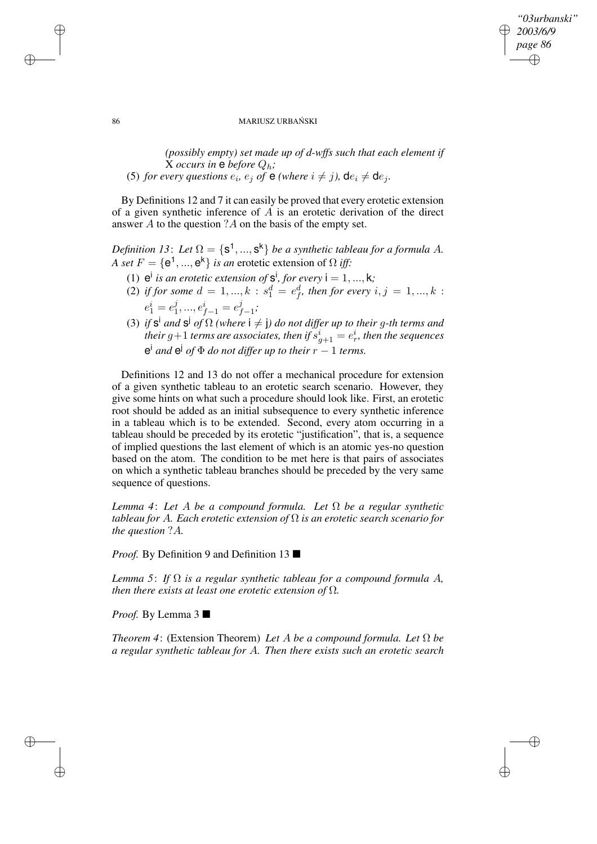## *"03urbanski" 2003/6/9 page 86* ✐ ✐

✐

✐

#### 86 MARIUSZ URBAŃSKI

*(possibly empty) set made up of d-wffs such that each element if* X *occurs* in  $e$  *before*  $Q_h$ ; (5) *for every questions*  $e_i$ ,  $e_j$  *of*  $\theta$  *(where*  $i \neq j$ *)*,  $\text{d}e_i \neq \text{d}e_j$ *.* 

By Definitions 12 and 7 it can easily be proved that every erotetic extension of a given synthetic inference of  $A$  is an erotetic derivation of the direct answer A to the question ?A on the basis of the empty set.

*Definition* 13: Let  $\Omega = \{s^1, ..., s^k\}$  be a synthetic tableau for a formula A. *A set*  $F = \{e^1, ..., e^k\}$  *is an* erotetic extension of  $\Omega$  *iff:* 

- (1)  $e^{i}$  *is an erotetic extension of*  $s^{i}$ *, for every*  $i = 1, ..., k$ ;
- (2) if for some  $d = 1, ..., k : s_1^d = e_f^d$ , then for every  $i, j = 1, ..., k$ :  $e_1^i = e_1^j$  $e^{i}_{f-1} = e^{j}_{f-1};$
- $(3)$  if  $S<sup>i</sup>$  and  $S<sup>j</sup>$  of  $\Omega$  (where  $i \neq j$ ) do not differ up to their g-th terms and  $\epsilon$  *their g*+1 *terms are associates, then if*  $s_{g+1}^i = e_r^i$ *, then the sequences*  $e^{i}$  *and*  $e^{j}$  *of*  $\Phi$  *do not differ up to their*  $r - 1$  *terms.*

Definitions 12 and 13 do not offer a mechanical procedure for extension of a given synthetic tableau to an erotetic search scenario. However, they give some hints on what such a procedure should look like. First, an erotetic root should be added as an initial subsequence to every synthetic inference in a tableau which is to be extended. Second, every atom occurring in a tableau should be preceded by its erotetic "justification", that is, a sequence of implied questions the last element of which is an atomic yes-no question based on the atom. The condition to be met here is that pairs of associates on which a synthetic tableau branches should be preceded by the very same sequence of questions.

*Lemma 4*: *Let* A *be a compound formula. Let* Ω *be a regular synthetic tableau for* A*. Each erotetic extension of* Ω *is an erotetic search scenario for the question* ?A*.*

*Proof.* By Definition 9 and Definition 13 ■

*Lemma 5*: *If* Ω *is a regular synthetic tableau for a compound formula* A*, then there exists at least one erotetic extension of* Ω*.*

*Proof.* By Lemma 3 ■

*Theorem 4*: (Extension Theorem) *Let* A *be a compound formula. Let* Ω *be a regular synthetic tableau for* A*. Then there exists such an erotetic search*

✐

✐

✐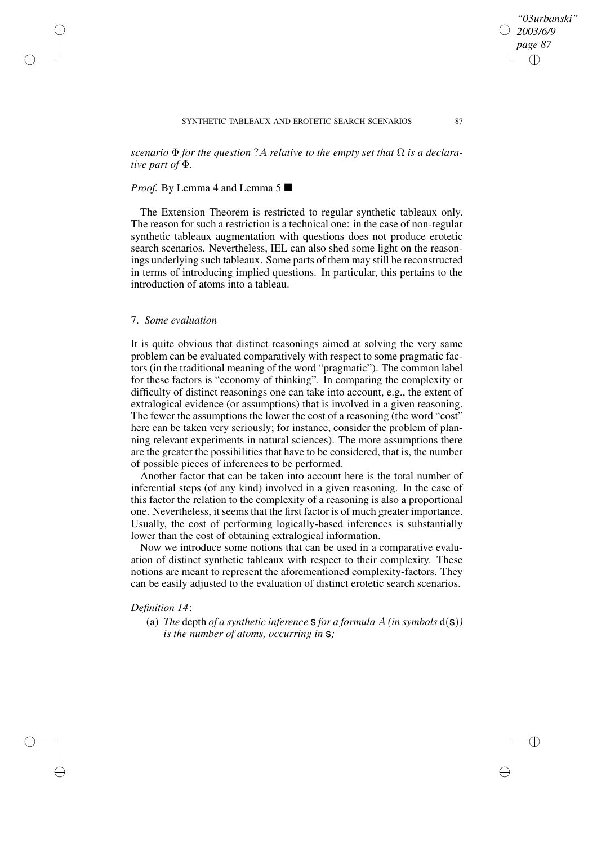*scenario*  $\Phi$  *for the question* ?A *relative to the empty set that*  $\Omega$  *is a declarative part of* Φ*.*

## *Proof.* By Lemma 4 and Lemma 5 ■

The Extension Theorem is restricted to regular synthetic tableaux only. The reason for such a restriction is a technical one: in the case of non-regular synthetic tableaux augmentation with questions does not produce erotetic search scenarios. Nevertheless, IEL can also shed some light on the reasonings underlying such tableaux. Some parts of them may still be reconstructed in terms of introducing implied questions. In particular, this pertains to the introduction of atoms into a tableau.

# 7. *Some evaluation*

✐

✐

✐

✐

It is quite obvious that distinct reasonings aimed at solving the very same problem can be evaluated comparatively with respect to some pragmatic factors (in the traditional meaning of the word "pragmatic"). The common label for these factors is "economy of thinking". In comparing the complexity or difficulty of distinct reasonings one can take into account, e.g., the extent of extralogical evidence (or assumptions) that is involved in a given reasoning. The fewer the assumptions the lower the cost of a reasoning (the word "cost" here can be taken very seriously; for instance, consider the problem of planning relevant experiments in natural sciences). The more assumptions there are the greater the possibilities that have to be considered, that is, the number of possible pieces of inferences to be performed.

Another factor that can be taken into account here is the total number of inferential steps (of any kind) involved in a given reasoning. In the case of this factor the relation to the complexity of a reasoning is also a proportional one. Nevertheless, it seems that the first factor is of much greater importance. Usually, the cost of performing logically-based inferences is substantially lower than the cost of obtaining extralogical information.

Now we introduce some notions that can be used in a comparative evaluation of distinct synthetic tableaux with respect to their complexity. These notions are meant to represent the aforementioned complexity-factors. They can be easily adjusted to the evaluation of distinct erotetic search scenarios.

# *Definition 14*:

(a) *The* depth *of a synthetic inference* **s** *for a formula*  $A$  *(in symbols*  $d(s)$ *) is the number of atoms, occurring in* s*;*



*"03urbanski" 2003/6/9 page 87*

✐

✐

✐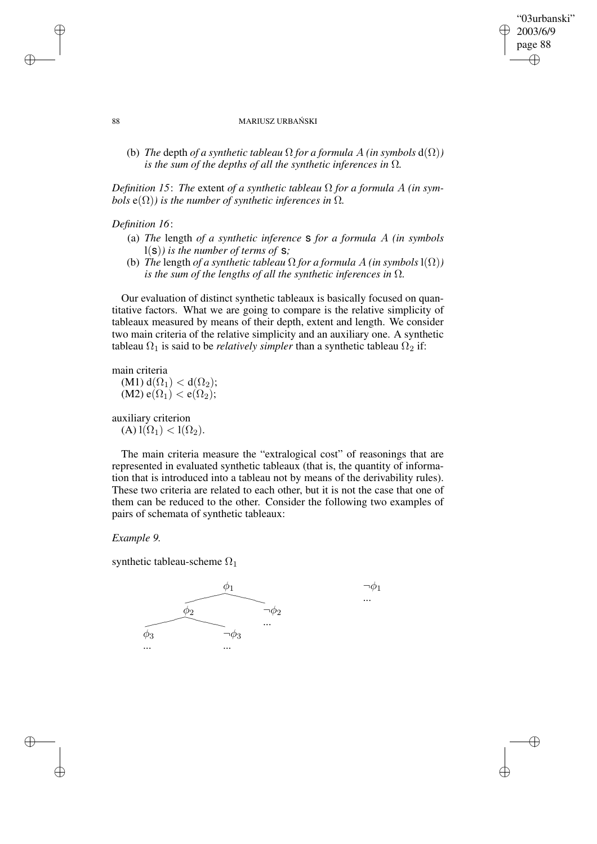# "03urbanski" 2003/6/9 page 88 ✐ ✐

✐

✐

#### 88 MARIUSZ URBAŃSKI

(b) *The* depth *of a synthetic tableau*  $\Omega$  *for a formula*  $A$  *(in symbols*  $d(\Omega)$ ) *is the sum of the depths of all the synthetic inferences in*  $\Omega$ *.* 

*Definition* 15: *The extent of a synthetic tableau*  $\Omega$  *for a formula* A *(in symbols*  $e(\Omega)$ *) is the number of synthetic inferences in*  $\Omega$ *.* 

## *Definition 16*:

- (a) *The* length *of a synthetic inference* s *for a formula* A *(in symbols* l(s)*) is the number of terms of* s*;*
- (b) *The* length *of a synthetic tableau*  $\Omega$  *for a formula*  $A$  *(in symbols*  $1(\Omega)$ *) is the sum of the lengths of all the synthetic inferences in* Ω*.*

Our evaluation of distinct synthetic tableaux is basically focused on quantitative factors. What we are going to compare is the relative simplicity of tableaux measured by means of their depth, extent and length. We consider two main criteria of the relative simplicity and an auxiliary one. A synthetic tableau  $\Omega_1$  is said to be *relatively simpler* than a synthetic tableau  $\Omega_2$  if:

main criteria

 $(M1) d(\Omega_1) < d(\Omega_2);$ (M2)  $e(\Omega_1) < e(\Omega_2)$ ;

auxiliary criterion  $(A)$  l $(\Omega_1)$  < l $(\Omega_2)$ .

The main criteria measure the "extralogical cost" of reasonings that are represented in evaluated synthetic tableaux (that is, the quantity of information that is introduced into a tableau not by means of the derivability rules). These two criteria are related to each other, but it is not the case that one of them can be reduced to the other. Consider the following two examples of pairs of schemata of synthetic tableaux:

### *Example 9.*

synthetic tableau-scheme  $\Omega_1$ 



✐

✐

✐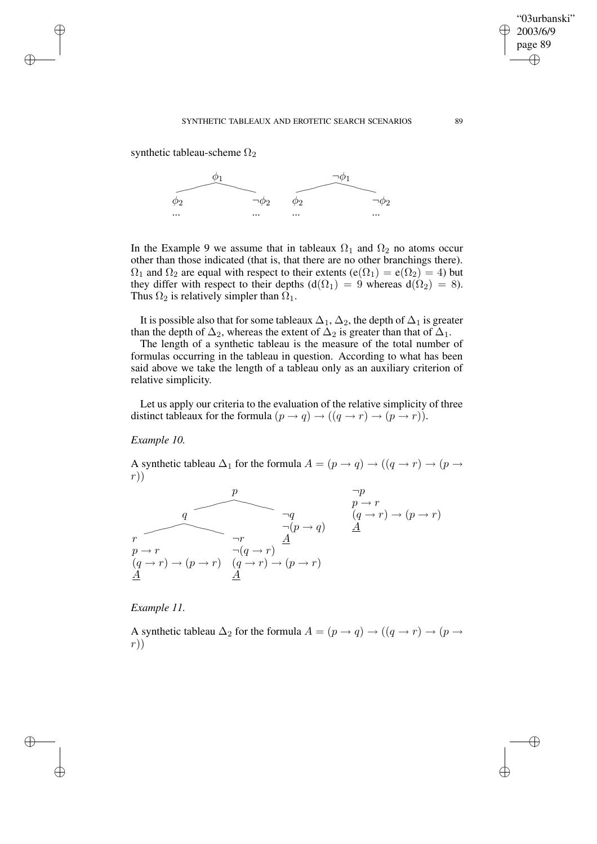#### SYNTHETIC TABLEAUX AND EROTETIC SEARCH SCENARIOS 89

synthetic tableau-scheme  $\Omega_2$ 

✐

✐

✐

✐



In the Example 9 we assume that in tableaux  $\Omega_1$  and  $\Omega_2$  no atoms occur other than those indicated (that is, that there are no other branchings there).  $\Omega_1$  and  $\Omega_2$  are equal with respect to their extents (e( $\Omega_1$ ) = e( $\Omega_2$ ) = 4) but they differ with respect to their depths ( $d(\Omega_1) = 9$  whereas  $d(\Omega_2) = 8$ ). Thus  $\Omega_2$  is relatively simpler than  $\Omega_1$ .

It is possible also that for some tableaux  $\Delta_1$ ,  $\Delta_2$ , the depth of  $\Delta_1$  is greater than the depth of  $\Delta_2$ , whereas the extent of  $\Delta_2$  is greater than that of  $\Delta_1$ .

The length of a synthetic tableau is the measure of the total number of formulas occurring in the tableau in question. According to what has been said above we take the length of a tableau only as an auxiliary criterion of relative simplicity.

Let us apply our criteria to the evaluation of the relative simplicity of three distinct tableaux for the formula  $(p \to q) \to ((q \to r) \to (p \to r))$ .

*Example 10.*

A synthetic tableau  $\Delta_1$  for the formula  $A = (p \rightarrow q) \rightarrow ((q \rightarrow r) \rightarrow (p \rightarrow q))$ r))

$$
\begin{array}{cccc}\np & & & \neg p \\
 & & & & p \rightarrow r \\
\hline\nr & & & & \neg (p \rightarrow q) & \underline{A} \\
p \rightarrow r & & & \neg (q \rightarrow r) & \underline{A} \\
(q \rightarrow r) \rightarrow (p \rightarrow r) & (q \rightarrow r) \rightarrow (p \rightarrow r) & \underline{A} \\
\end{array}
$$

*Example 11.*

A synthetic tableau  $\Delta_2$  for the formula  $A = (p \rightarrow q) \rightarrow ((q \rightarrow r) \rightarrow (p \rightarrow q))$ r))

"03urbanski" 2003/6/9 page 89

✐

✐

✐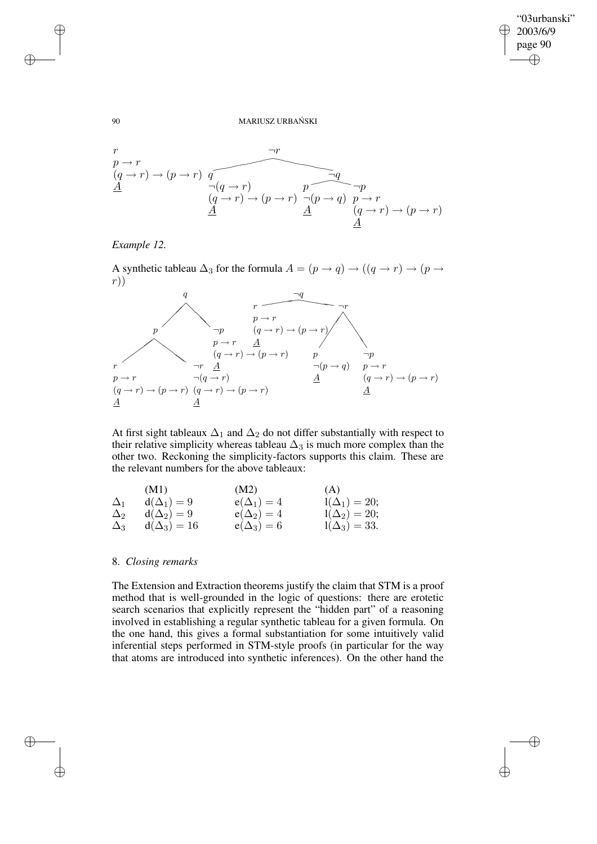$\bigoplus$ 

✐

#### 90 MARIUSZ URBAŃSKI





A synthetic tableau  $\Delta_3$  for the formula  $A = (p \rightarrow q) \rightarrow ((q \rightarrow r) \rightarrow (p \rightarrow q))$ r))



At first sight tableaux  $\Delta_1$  and  $\Delta_2$  do not differ substantially with respect to their relative simplicity whereas tableau  $\Delta_3$  is much more complex than the other two. Reckoning the simplicity-factors supports this claim. These are the relevant numbers for the above tableaux:

|            | (M1)             | (M2)            | (A)                 |
|------------|------------------|-----------------|---------------------|
| $\Delta_1$ | $d(\Delta_1)=9$  | $e(\Delta_1)=4$ | $1(\Delta_1) = 20;$ |
| $\Delta_2$ | $d(\Delta_2)=9$  | $e(\Delta_2)=4$ | $1(\Delta_2) = 20;$ |
| $\Delta_3$ | $d(\Delta_3)=16$ | $e(\Delta_3)=6$ | $1(\Delta_3) = 33.$ |

### 8. *Closing remarks*

The Extension and Extraction theorems justify the claim that STM is a proof method that is well-grounded in the logic of questions: there are erotetic search scenarios that explicitly represent the "hidden part" of a reasoning involved in establishing a regular synthetic tableau for a given formula. On the one hand, this gives a formal substantiation for some intuitively valid inferential steps performed in STM-style proofs (in particular for the way that atoms are introduced into synthetic inferences). On the other hand the

✐

✐

✐